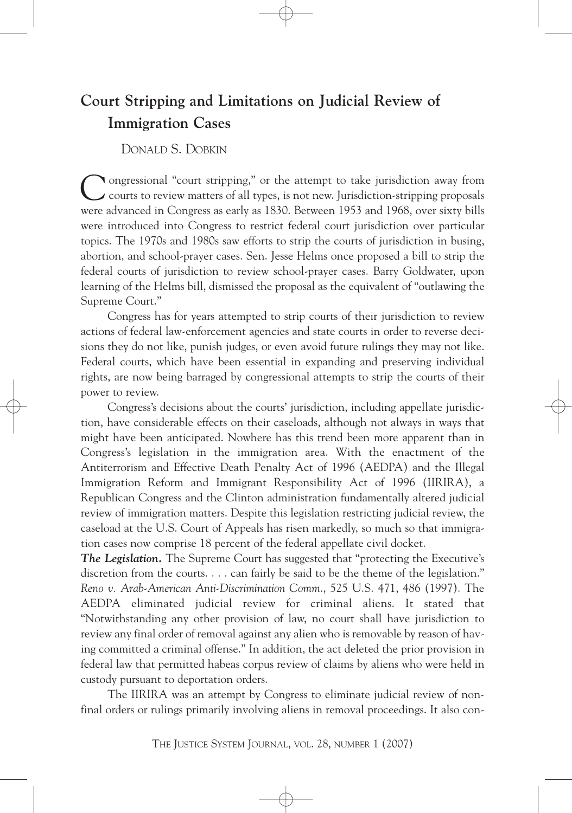## **Court Stripping and Limitations on Judicial Review of Immigration Cases**

DONALD S. DOBKIN

ongressional "court stripping," or the attempt to take jurisdiction away from courts to review matters of all types, is not new. Jurisdiction-stripping proposals were advanced in Congress as early as 1830. Between 1953 and 1968, over sixty bills were introduced into Congress to restrict federal court jurisdiction over particular topics. The 1970s and 1980s saw efforts to strip the courts of jurisdiction in busing, abortion, and school-prayer cases. Sen. Jesse Helms once proposed a bill to strip the federal courts of jurisdiction to review school-prayer cases. Barry Goldwater, upon learning of the Helms bill, dismissed the proposal as the equivalent of "outlawing the Supreme Court." C

Congress has for years attempted to strip courts of their jurisdiction to review actions of federal law-enforcement agencies and state courts in order to reverse decisions they do not like, punish judges, or even avoid future rulings they may not like. Federal courts, which have been essential in expanding and preserving individual rights, are now being barraged by congressional attempts to strip the courts of their power to review.

Congress's decisions about the courts' jurisdiction, including appellate jurisdiction, have considerable effects on their caseloads, although not always in ways that might have been anticipated. Nowhere has this trend been more apparent than in Congress's legislation in the immigration area. With the enactment of the Antiterrorism and Effective Death Penalty Act of 1996 (AEDPA) and the Illegal Immigration Reform and Immigrant Responsibility Act of 1996 (IIRIRA), a Republican Congress and the Clinton administration fundamentally altered judicial review of immigration matters. Despite this legislation restricting judicial review, the caseload at the U.S. Court of Appeals has risen markedly, so much so that immigration cases now comprise 18 percent of the federal appellate civil docket.

*The Legislation.* The Supreme Court has suggested that "protecting the Executive's discretion from the courts. . . . can fairly be said to be the theme of the legislation." *Reno v. Arab-American Anti-Discrimination Comm*., 525 U.S. 471, 486 (1997). The AEDPA eliminated judicial review for criminal aliens. It stated that "Notwithstanding any other provision of law, no court shall have jurisdiction to review any final order of removal against any alien who is removable by reason of having committed a criminal offense." In addition, the act deleted the prior provision in federal law that permitted habeas corpus review of claims by aliens who were held in custody pursuant to deportation orders.

The IIRIRA was an attempt by Congress to eliminate judicial review of nonfinal orders or rulings primarily involving aliens in removal proceedings. It also con-

THE JUSTICE SYSTEM JOURNAL, VOL. 28, NUMBER 1 (2007)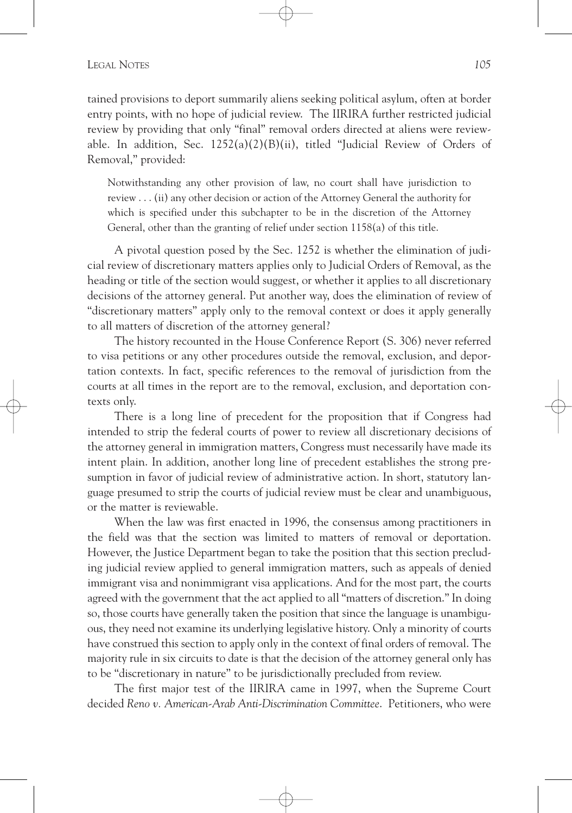## LEGAL NOTES *105*

tained provisions to deport summarily aliens seeking political asylum, often at border entry points, with no hope of judicial review. The IIRIRA further restricted judicial review by providing that only "final" removal orders directed at aliens were reviewable. In addition, Sec.  $1252(a)(2)(B)(ii)$ , titled "Judicial Review of Orders of Removal," provided:

Notwithstanding any other provision of law, no court shall have jurisdiction to review . . . (ii) any other decision or action of the Attorney General the authority for which is specified under this subchapter to be in the discretion of the Attorney General, other than the granting of relief under section 1158(a) of this title.

A pivotal question posed by the Sec. 1252 is whether the elimination of judicial review of discretionary matters applies only to Judicial Orders of Removal, as the heading or title of the section would suggest, or whether it applies to all discretionary decisions of the attorney general. Put another way, does the elimination of review of "discretionary matters" apply only to the removal context or does it apply generally to all matters of discretion of the attorney general?

The history recounted in the House Conference Report (S. 306) never referred to visa petitions or any other procedures outside the removal, exclusion, and deportation contexts. In fact, specific references to the removal of jurisdiction from the courts at all times in the report are to the removal, exclusion, and deportation contexts only.

There is a long line of precedent for the proposition that if Congress had intended to strip the federal courts of power to review all discretionary decisions of the attorney general in immigration matters, Congress must necessarily have made its intent plain. In addition, another long line of precedent establishes the strong presumption in favor of judicial review of administrative action. In short, statutory language presumed to strip the courts of judicial review must be clear and unambiguous, or the matter is reviewable.

When the law was first enacted in 1996, the consensus among practitioners in the field was that the section was limited to matters of removal or deportation. However, the Justice Department began to take the position that this section precluding judicial review applied to general immigration matters, such as appeals of denied immigrant visa and nonimmigrant visa applications. And for the most part, the courts agreed with the government that the act applied to all "matters of discretion." In doing so, those courts have generally taken the position that since the language is unambiguous, they need not examine its underlying legislative history. Only a minority of courts have construed this section to apply only in the context of final orders of removal. The majority rule in six circuits to date is that the decision of the attorney general only has to be "discretionary in nature" to be jurisdictionally precluded from review.

The first major test of the IIRIRA came in 1997, when the Supreme Court decided *Reno v. American-Arab Anti-Discrimination Committee*. Petitioners, who were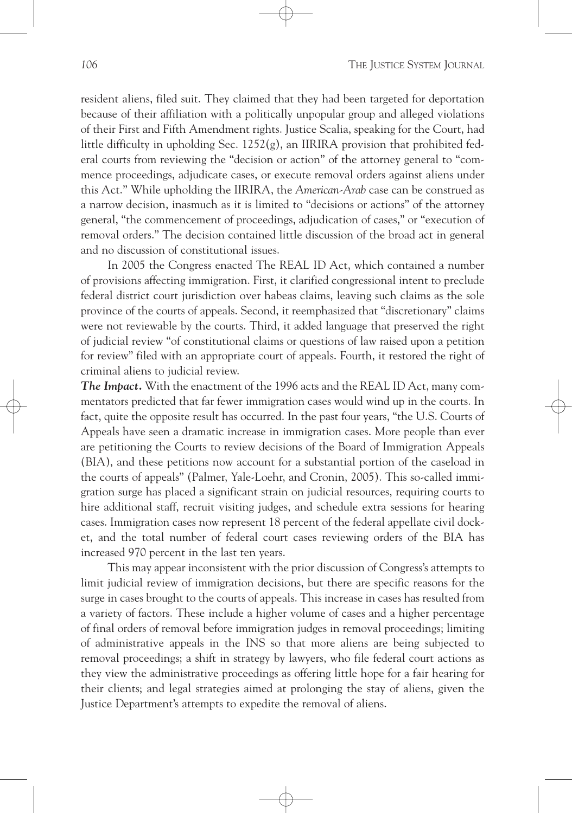resident aliens, filed suit. They claimed that they had been targeted for deportation because of their affiliation with a politically unpopular group and alleged violations of their First and Fifth Amendment rights. Justice Scalia, speaking for the Court, had little difficulty in upholding Sec.  $1252(g)$ , an IIRIRA provision that prohibited federal courts from reviewing the "decision or action" of the attorney general to "commence proceedings, adjudicate cases, or execute removal orders against aliens under this Act.'' While upholding the IIRIRA, the *American-Arab* case can be construed as a narrow decision, inasmuch as it is limited to "decisions or actions" of the attorney general, "the commencement of proceedings, adjudication of cases," or "execution of removal orders." The decision contained little discussion of the broad act in general and no discussion of constitutional issues.

In 2005 the Congress enacted The REAL ID Act, which contained a number of provisions affecting immigration. First, it clarified congressional intent to preclude federal district court jurisdiction over habeas claims, leaving such claims as the sole province of the courts of appeals. Second, it reemphasized that "discretionary" claims were not reviewable by the courts. Third, it added language that preserved the right of judicial review "of constitutional claims or questions of law raised upon a petition for review" filed with an appropriate court of appeals. Fourth, it restored the right of criminal aliens to judicial review.

*The Impact.* With the enactment of the 1996 acts and the REAL ID Act, many commentators predicted that far fewer immigration cases would wind up in the courts. In fact, quite the opposite result has occurred. In the past four years, "the U.S. Courts of Appeals have seen a dramatic increase in immigration cases. More people than ever are petitioning the Courts to review decisions of the Board of Immigration Appeals (BIA), and these petitions now account for a substantial portion of the caseload in the courts of appeals" (Palmer, Yale-Loehr, and Cronin, 2005). This so-called immigration surge has placed a significant strain on judicial resources, requiring courts to hire additional staff, recruit visiting judges, and schedule extra sessions for hearing cases. Immigration cases now represent 18 percent of the federal appellate civil docket, and the total number of federal court cases reviewing orders of the BIA has increased 970 percent in the last ten years.

This may appear inconsistent with the prior discussion of Congress's attempts to limit judicial review of immigration decisions, but there are specific reasons for the surge in cases brought to the courts of appeals. This increase in cases has resulted from a variety of factors. These include a higher volume of cases and a higher percentage of final orders of removal before immigration judges in removal proceedings; limiting of administrative appeals in the INS so that more aliens are being subjected to removal proceedings; a shift in strategy by lawyers, who file federal court actions as they view the administrative proceedings as offering little hope for a fair hearing for their clients; and legal strategies aimed at prolonging the stay of aliens, given the Justice Department's attempts to expedite the removal of aliens.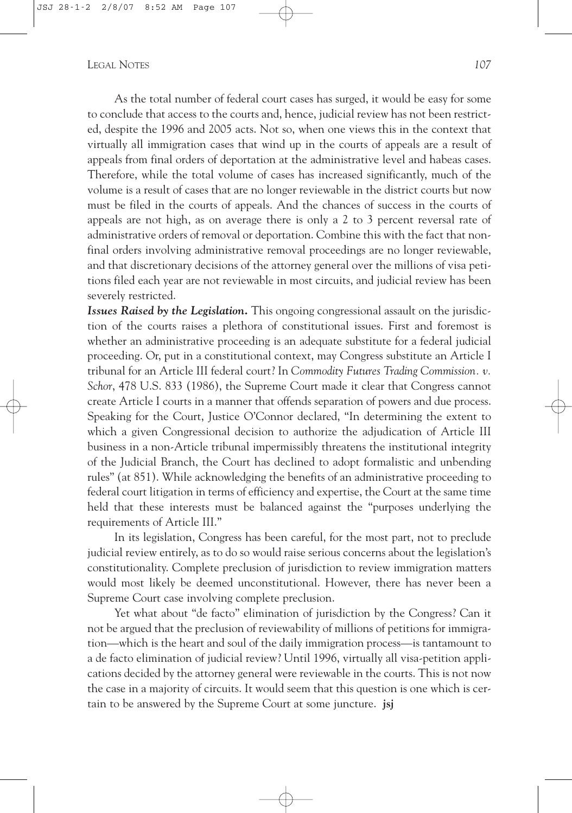## LEGAL NOTES *107*

As the total number of federal court cases has surged, it would be easy for some to conclude that access to the courts and, hence, judicial review has not been restricted, despite the 1996 and 2005 acts. Not so, when one views this in the context that virtually all immigration cases that wind up in the courts of appeals are a result of appeals from final orders of deportation at the administrative level and habeas cases. Therefore, while the total volume of cases has increased significantly, much of the volume is a result of cases that are no longer reviewable in the district courts but now must be filed in the courts of appeals. And the chances of success in the courts of appeals are not high, as on average there is only a 2 to 3 percent reversal rate of administrative orders of removal or deportation. Combine this with the fact that nonfinal orders involving administrative removal proceedings are no longer reviewable, and that discretionary decisions of the attorney general over the millions of visa petitions filed each year are not reviewable in most circuits, and judicial review has been severely restricted.

*Issues Raised by the Legislation.* This ongoing congressional assault on the jurisdiction of the courts raises a plethora of constitutional issues. First and foremost is whether an administrative proceeding is an adequate substitute for a federal judicial proceeding. Or, put in a constitutional context, may Congress substitute an Article I tribunal for an Article III federal court? In *Commodity Futures Trading Commission. v. Schor*, 478 U.S. 833 (1986), the Supreme Court made it clear that Congress cannot create Article I courts in a manner that offends separation of powers and due process. Speaking for the Court, Justice O'Connor declared, "In determining the extent to which a given Congressional decision to authorize the adjudication of Article III business in a non-Article tribunal impermissibly threatens the institutional integrity of the Judicial Branch, the Court has declined to adopt formalistic and unbending rules" (at 851). While acknowledging the benefits of an administrative proceeding to federal court litigation in terms of efficiency and expertise, the Court at the same time held that these interests must be balanced against the "purposes underlying the requirements of Article III."

In its legislation, Congress has been careful, for the most part, not to preclude judicial review entirely, as to do so would raise serious concerns about the legislation's constitutionality. Complete preclusion of jurisdiction to review immigration matters would most likely be deemed unconstitutional. However, there has never been a Supreme Court case involving complete preclusion.

Yet what about "de facto" elimination of jurisdiction by the Congress? Can it not be argued that the preclusion of reviewability of millions of petitions for immigration—which is the heart and soul of the daily immigration process—is tantamount to a de facto elimination of judicial review? Until 1996, virtually all visa-petition applications decided by the attorney general were reviewable in the courts. This is not now the case in a majority of circuits. It would seem that this question is one which is certain to be answered by the Supreme Court at some juncture. **jsj**